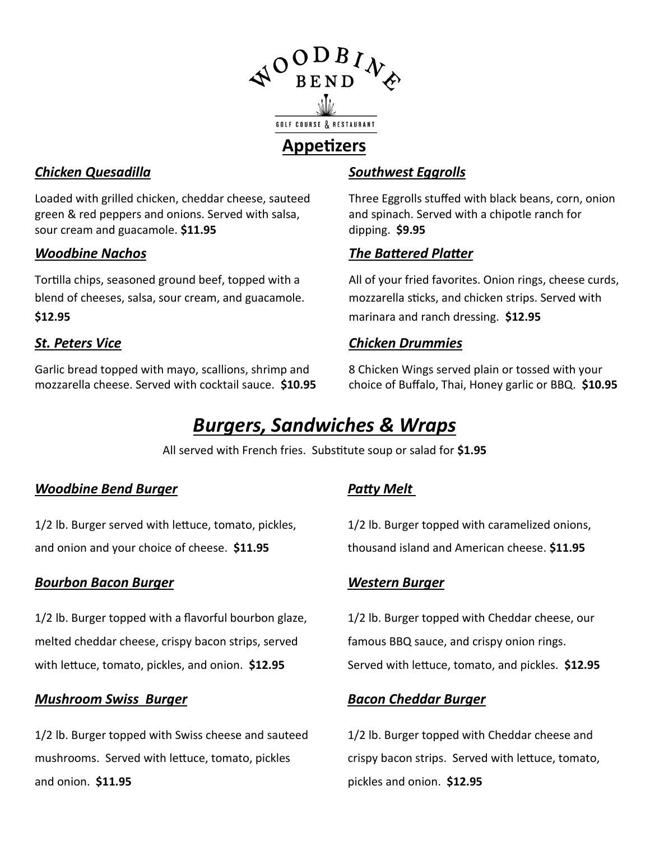

### **Appetizers**

#### *Chicken Quesadilla*

Loaded with grilled chicken, cheddar cheese, sauteed green & red peppers and onions. Served with salsa, sour cream and guacamole. **\$11.95**

#### *Woodbine Nachos*

Tortilla chips, seasoned ground beef, topped with a blend of cheeses, salsa, sour cream, and guacamole. **\$12.95**

#### *St. Peters Vice*

Garlic bread topped with mayo, scallions, shrimp and mozzarella cheese. Served with cocktail sauce. **\$10.95**

#### *Southwest Eggrolls*

Three Eggrolls stuffed with black beans, corn, onion and spinach. Served with a chipotle ranch for dipping. **\$9.95**

#### *The Battered Platter*

All of your fried favorites. Onion rings, cheese curds, mozzarella sticks, and chicken strips. Served with marinara and ranch dressing. **\$12.95**

#### *Chicken Drummies*

8 Chicken Wings served plain or tossed with your choice of Buffalo, Thai, Honey garlic or BBQ. **\$10.95**

## *Burgers, Sandwiches & Wraps*

All served with French fries. Substitute soup or salad for **\$1.95** 

#### *Woodbine Bend Burger*

1/2 lb. Burger served with lettuce, tomato, pickles, and onion and your choice of cheese. **\$11.95** 

#### *Bourbon Bacon Burger*

1/2 lb. Burger topped with a flavorful bourbon glaze, melted cheddar cheese, crispy bacon strips, served with lettuce, tomato, pickles, and onion. **\$12.95**

#### *Mushroom Swiss Burger*

1/2 lb. Burger topped with Swiss cheese and sauteed mushrooms. Served with lettuce, tomato, pickles and onion. **\$11.95**

#### *Patty Melt*

1/2 lb. Burger topped with caramelized onions, thousand island and American cheese. **\$11.95**

#### *Western Burger*

1/2 lb. Burger topped with Cheddar cheese, our famous BBQ sauce, and crispy onion rings. Served with lettuce, tomato, and pickles. **\$12.95**

#### *Bacon Cheddar Burger*

1/2 lb. Burger topped with Cheddar cheese and crispy bacon strips. Served with lettuce, tomato, pickles and onion. **\$12.95**